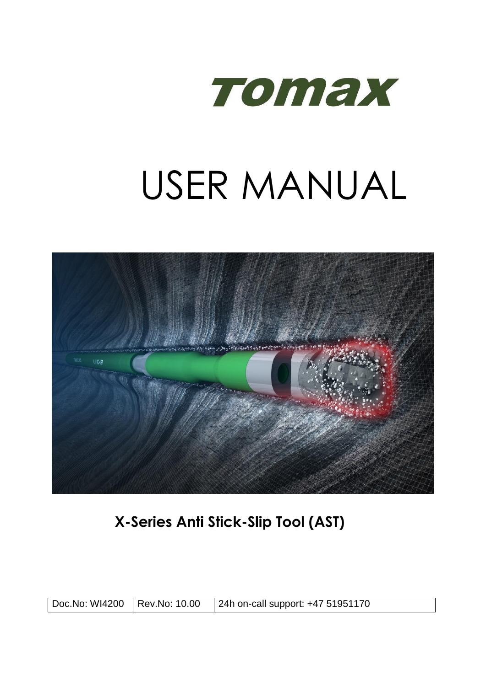

# USER MANUAL



**X-Series Anti Stick-Slip Tool (AST)**

| Doc.No: WI4200 Rev.No: 10.00 |  | 24h on-call support: +47 51951170 |
|------------------------------|--|-----------------------------------|
|------------------------------|--|-----------------------------------|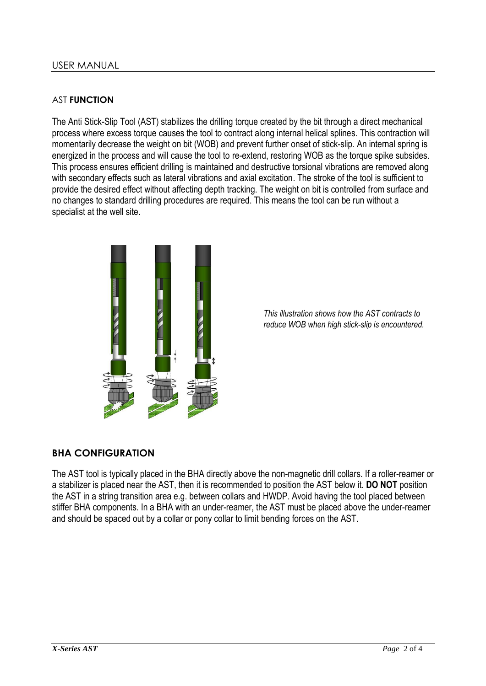#### AST **FUNCTION**

The Anti Stick-Slip Tool (AST) stabilizes the drilling torque created by the bit through a direct mechanical process where excess torque causes the tool to contract along internal helical splines. This contraction will momentarily decrease the weight on bit (WOB) and prevent further onset of stick-slip. An internal spring is energized in the process and will cause the tool to re-extend, restoring WOB as the torque spike subsides. This process ensures efficient drilling is maintained and destructive torsional vibrations are removed along with secondary effects such as lateral vibrations and axial excitation. The stroke of the tool is sufficient to provide the desired effect without affecting depth tracking. The weight on bit is controlled from surface and no changes to standard drilling procedures are required. This means the tool can be run without a specialist at the well site.



*This illustration shows how the AST contracts to reduce WOB when high stick-slip is encountered.*

## **BHA CONFIGURATION**

The AST tool is typically placed in the BHA directly above the non-magnetic drill collars. If a roller-reamer or a stabilizer is placed near the AST, then it is recommended to position the AST below it. **DO NOT** position the AST in a string transition area e.g. between collars and HWDP. Avoid having the tool placed between stiffer BHA components. In a BHA with an under-reamer, the AST must be placed above the under-reamer and should be spaced out by a collar or pony collar to limit bending forces on the AST.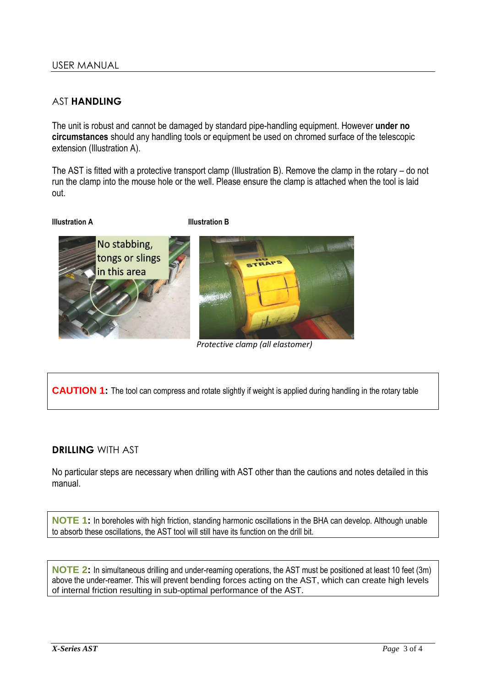# AST **HANDLING**

The unit is robust and cannot be damaged by standard pipe-handling equipment. However **under no circumstances** should any handling tools or equipment be used on chromed surface of the telescopic extension (Illustration A).

The AST is fitted with a protective transport clamp (Illustration B). Remove the clamp in the rotary – do not run the clamp into the mouse hole or the well. Please ensure the clamp is attached when the tool is laid out.

#### **Illustration A Illustration B**



*Protective clamp (all elastomer)*

**CAUTION 1:** The tool can compress and rotate slightly if weight is applied during handling in the rotary table

## **DRILLING** WITH AST

No particular steps are necessary when drilling with AST other than the cautions and notes detailed in this manual.

**NOTE 1:** In boreholes with high friction, standing harmonic oscillations in the BHA can develop. Although unable to absorb these oscillations, the AST tool will still have its function on the drill bit.

**NOTE 2:** In simultaneous drilling and under-reaming operations, the AST must be positioned at least 10 feet (3m) above the under-reamer. This will prevent bending forces acting on the AST, which can create high levels of internal friction resulting in sub-optimal performance of the AST.